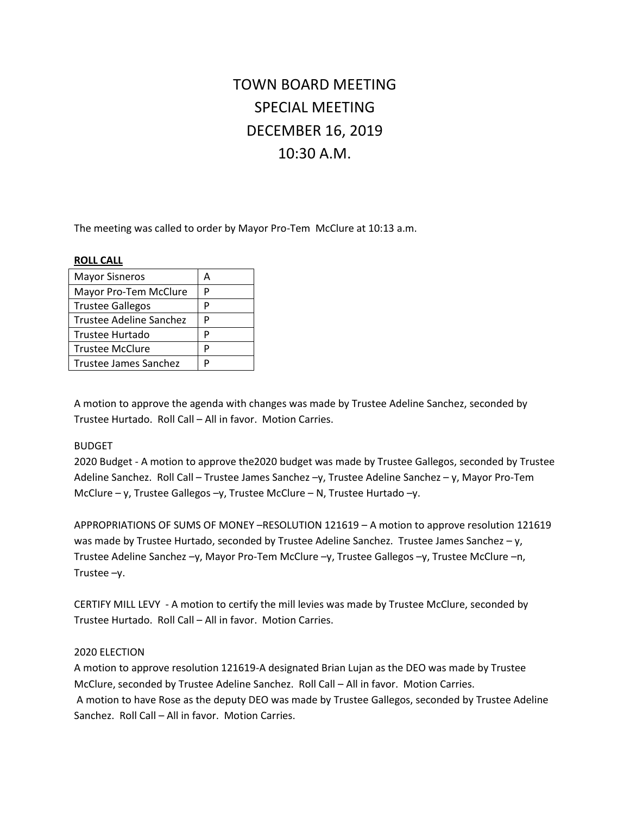# TOWN BOARD MEETING SPECIAL MEETING DECEMBER 16, 2019 10:30 A.M.

The meeting was called to order by Mayor Pro-Tem McClure at 10:13 a.m.

### **ROLL CALL**

| <b>Mayor Sisneros</b>          | A |
|--------------------------------|---|
| Mayor Pro-Tem McClure          | P |
| <b>Trustee Gallegos</b>        | P |
| <b>Trustee Adeline Sanchez</b> | P |
| Trustee Hurtado                | P |
| <b>Trustee McClure</b>         | P |
| Trustee James Sanchez          | D |

A motion to approve the agenda with changes was made by Trustee Adeline Sanchez, seconded by Trustee Hurtado. Roll Call – All in favor. Motion Carries.

### BUDGET

2020 Budget - A motion to approve the2020 budget was made by Trustee Gallegos, seconded by Trustee Adeline Sanchez. Roll Call – Trustee James Sanchez –y, Trustee Adeline Sanchez – y, Mayor Pro-Tem McClure – y, Trustee Gallegos –y, Trustee McClure – N, Trustee Hurtado –y.

APPROPRIATIONS OF SUMS OF MONEY –RESOLUTION 121619 – A motion to approve resolution 121619 was made by Trustee Hurtado, seconded by Trustee Adeline Sanchez. Trustee James Sanchez – y, Trustee Adeline Sanchez –y, Mayor Pro-Tem McClure –y, Trustee Gallegos –y, Trustee McClure –n, Trustee –y.

CERTIFY MILL LEVY - A motion to certify the mill levies was made by Trustee McClure, seconded by Trustee Hurtado. Roll Call – All in favor. Motion Carries.

### 2020 ELECTION

A motion to approve resolution 121619-A designated Brian Lujan as the DEO was made by Trustee McClure, seconded by Trustee Adeline Sanchez. Roll Call – All in favor. Motion Carries. A motion to have Rose as the deputy DEO was made by Trustee Gallegos, seconded by Trustee Adeline Sanchez. Roll Call – All in favor. Motion Carries.